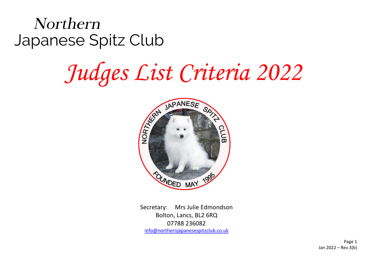Northern Japanese Spitz Club

## *Judges List Criteria 2022*



Secretary: Mrs Julie Edmondson Bolton, Lancs, BL2 6RQ 07788 236082 [info@northernjapanesespitzclub.co.uk](mailto:info@northernjapanesespitzclub.co.uk)

> Page 1 Jan 2022 – Rev 3(b)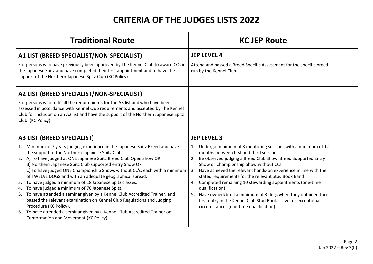## **CRITERIA OF THE JUDGES LISTS 2022**

| <b>Traditional Route</b>                                                                                                                                                                                                                                                                                                                                                                                                                                                                                                                                                                                                                                                                                                                                                                                                                                                             | <b>KC JEP Route</b>                                                                                                                                                                                                                                                                                                                                                                                                                                                                                                                                                                                                                          |
|--------------------------------------------------------------------------------------------------------------------------------------------------------------------------------------------------------------------------------------------------------------------------------------------------------------------------------------------------------------------------------------------------------------------------------------------------------------------------------------------------------------------------------------------------------------------------------------------------------------------------------------------------------------------------------------------------------------------------------------------------------------------------------------------------------------------------------------------------------------------------------------|----------------------------------------------------------------------------------------------------------------------------------------------------------------------------------------------------------------------------------------------------------------------------------------------------------------------------------------------------------------------------------------------------------------------------------------------------------------------------------------------------------------------------------------------------------------------------------------------------------------------------------------------|
| A1 LIST (BREED SPECIALIST/NON-SPECIALIST)<br>For persons who have previously been approved by The Kennel Club to award CCs in<br>the Japanese Spitz and have completed their first appointment and to have the<br>support of the Northern Japanese Spitz Club (KC Policy)                                                                                                                                                                                                                                                                                                                                                                                                                                                                                                                                                                                                            | <b>JEP LEVEL 4</b><br>Attend and passed a Breed Specific Assessment for the specific breed<br>run by the Kennel Club                                                                                                                                                                                                                                                                                                                                                                                                                                                                                                                         |
| A2 LIST (BREED SPECIALIST/NON-SPECIALIST)<br>For persons who fulfil all the requirements for the A3 list and who have been<br>assessed in accordance with Kennel Club requirements and accepted by The Kennel<br>Club for inclusion on an A2 list and have the support of the Northern Japanese Spitz<br>Club. (KC Policy)                                                                                                                                                                                                                                                                                                                                                                                                                                                                                                                                                           |                                                                                                                                                                                                                                                                                                                                                                                                                                                                                                                                                                                                                                              |
| A3 LIST (BREED SPECIALIST)<br>1. Minimum of 7 years judging experience in the Japanese Spitz Breed and have<br>the support of the Northern Japanese Spitz Club.<br>2. A) To have judged at ONE Japanese Spitz Breed Club Open Show OR<br>B) Northern Japanese Spitz Club supported entry Show OR<br>C) To have judged ONE Championship Shows without CC's, each with a minimum<br>of TWELVE DOGS and with an adequate geographical spread.<br>To have judged a minimum of 18 Japanese Spitz classes.<br>3.<br>To have judged a minimum of 70 Japanese Spitz.<br>4.<br>To have attended a seminar given by a Kennel Club Accredited Trainer, and<br>5.<br>passed the relevant examination on Kennel Club Regulations and Judging<br>Procedure (KC Policy).<br>To have attended a seminar given by a Kennel Club Accredited Trainer on<br>6.<br>Conformation and Movement (KC Policy). | <b>JEP LEVEL 3</b><br>1. Undergo minimum of 3 mentoring sessions with a minimum of 12<br>months between first and third session<br>Be observed judging a Breed Club Show, Breed Supported Entry<br>Show or Championship Show without CCs<br>Have achieved the relevant hands-on experience in line with the<br>3.<br>stated requirements for the relevant Stud Book Band<br>Completed remaining 10 stewarding appointments (one-time<br>4.<br>qualification)<br>5. Have owned/bred a minimum of 3 dogs when they obtained their<br>first entry in the Kennel Club Stud Book - save for exceptional<br>circumstances (one-time qualification) |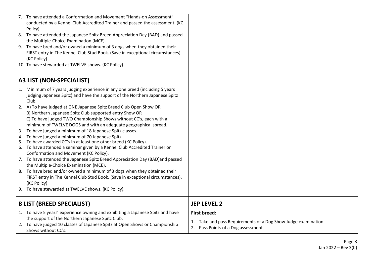|                                  | 7. To have attended a Conformation and Movement "Hands-on Assessment"                                                                                       |                                                               |
|----------------------------------|-------------------------------------------------------------------------------------------------------------------------------------------------------------|---------------------------------------------------------------|
|                                  | conducted by a Kennel Club Accredited Trainer and passed the assessment. (KC                                                                                |                                                               |
|                                  | Policy)                                                                                                                                                     |                                                               |
|                                  | 8. To have attended the Japanese Spitz Breed Appreciation Day (BAD) and passed                                                                              |                                                               |
|                                  | the Multiple-Choice Examination (MCE).                                                                                                                      |                                                               |
|                                  | 9. To have bred and/or owned a minimum of 3 dogs when they obtained their<br>FIRST entry in The Kennel Club Stud Book. (Save in exceptional circumstances). |                                                               |
|                                  | (KC Policy).                                                                                                                                                |                                                               |
|                                  | 10. To have stewarded at TWELVE shows. (KC Policy).                                                                                                         |                                                               |
|                                  |                                                                                                                                                             |                                                               |
|                                  | <b>A3 LIST (NON-SPECIALIST)</b>                                                                                                                             |                                                               |
|                                  | 1. Minimum of 7 years judging experience in any one breed (including 5 years                                                                                |                                                               |
|                                  | judging Japanese Spitz) and have the support of the Northern Japanese Spitz                                                                                 |                                                               |
|                                  | Club.                                                                                                                                                       |                                                               |
|                                  | 2. A) To have judged at ONE Japanese Spitz Breed Club Open Show OR                                                                                          |                                                               |
|                                  | B) Northern Japanese Spitz Club supported entry Show OR                                                                                                     |                                                               |
|                                  | C) To have judged TWO Championship Shows without CC's, each with a                                                                                          |                                                               |
|                                  | minimum of TWELVE DOGS and with an adequate geographical spread.                                                                                            |                                                               |
|                                  | 3. To have judged a minimum of 18 Japanese Spitz classes.                                                                                                   |                                                               |
|                                  | 4. To have judged a minimum of 70 Japanese Spitz.                                                                                                           |                                                               |
|                                  | 5. To have awarded CC's in at least one other breed (KC Policy).<br>6. To have attended a seminar given by a Kennel Club Accredited Trainer on              |                                                               |
|                                  | Conformation and Movement (KC Policy).                                                                                                                      |                                                               |
|                                  | 7. To have attended the Japanese Spitz Breed Appreciation Day (BAD) and passed                                                                              |                                                               |
|                                  | the Multiple-Choice Examination (MCE).                                                                                                                      |                                                               |
|                                  | 8. To have bred and/or owned a minimum of 3 dogs when they obtained their                                                                                   |                                                               |
|                                  | FIRST entry in The Kennel Club Stud Book. (Save in exceptional circumstances).                                                                              |                                                               |
|                                  | (KC Policy).                                                                                                                                                |                                                               |
|                                  | 9. To have stewarded at TWELVE shows. (KC Policy).                                                                                                          |                                                               |
| <b>B LIST (BREED SPECIALIST)</b> |                                                                                                                                                             | <b>JEP LEVEL 2</b>                                            |
|                                  |                                                                                                                                                             |                                                               |
|                                  | 1. To have 5 years' experience owning and exhibiting a Japanese Spitz and have                                                                              | <b>First breed:</b>                                           |
|                                  | the support of the Northern Japanese Spitz Club.                                                                                                            | 1. Take and pass Requirements of a Dog Show Judge examination |
|                                  | 2. To have judged 10 classes of Japanese Spitz at Open Shows or Championship<br>Shows without CC's.                                                         | 2. Pass Points of a Dog assessment                            |